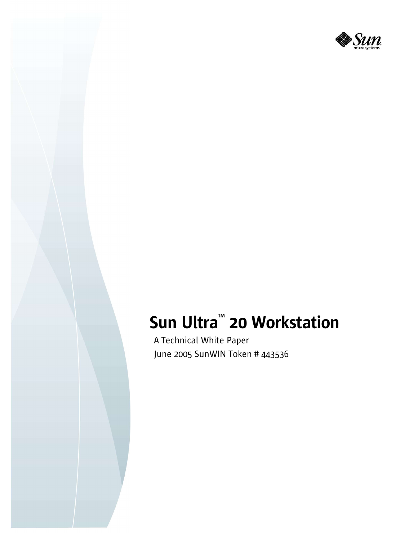

# Sun Ultra<sup>™</sup> 20 Workstation

A Technical White Paper June 2005 SunWIN Token # 443536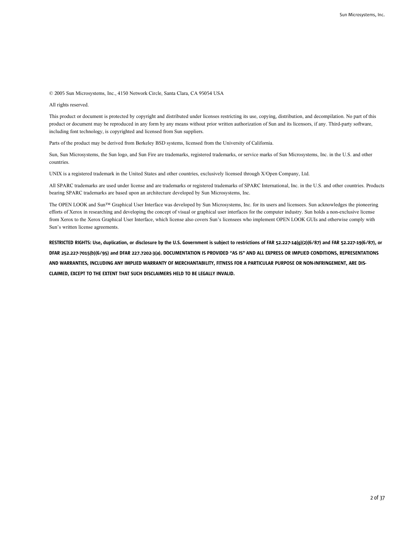© 2005 Sun Microsystems, Inc., 4150 Network Circle, Santa Clara, CA 95054 USA

All rights reserved.

This product or document is protected by copyright and distributed under licenses restricting its use, copying, distribution, and decompilation. No part of this product or document may be reproduced in any form by any means without prior written authorization of Sun and its licensors, if any. Third-party software, including font technology, is copyrighted and licensed from Sun suppliers.

Parts of the product may be derived from Berkeley BSD systems, licensed from the University of California.

Sun, Sun Microsystems, the Sun logo, and Sun Fire are trademarks, registered trademarks, or service marks of Sun Microsystems, Inc. in the U.S. and other countries.

UNIX is a registered trademark in the United States and other countries, exclusively licensed through X/Open Company, Ltd.

All SPARC trademarks are used under license and are trademarks or registered trademarks of SPARC International, Inc. in the U.S. and other countries. Products bearing SPARC trademarks are based upon an architecture developed by Sun Microsystems, Inc.

The OPEN LOOK and Sun™ Graphical User Interface was developed by Sun Microsystems, Inc. for its users and licensees. Sun acknowledges the pioneering efforts of Xerox in researching and developing the concept of visual or graphical user interfaces for the computer industry. Sun holds a non-exclusive license from Xerox to the Xerox Graphical User Interface, which license also covers Sun's licensees who implement OPEN LOOK GUIs and otherwise comply with Sun's written license agreements.

RESTRICTED RIGHTS: Use, duplication, or disclosure by the U.S. Government is subject to restrictions of FAR 52.227-14(g)(2)(6/87) and FAR 52.227-19(6/87), or DFAR 252.227-7015(b)(6/95) and DFAR 227.7202-3(a). DOCUMENTATION IS PROVIDED "AS IS" AND ALL EXPRESS OR IMPLIED CONDITIONS, REPRESENTATIONS AND WARRANTIES, INCLUDING ANY IMPLIED WARRANTY OF MERCHANTABILITY, FITNESS FOR A PARTICULAR PURPOSE OR NON-INFRINGEMENT, ARE DIS-CLAIMED, EXCEPT TO THE EXTENT THAT SUCH DISCLAIMERS HELD TO BE LEGALLY INVALID.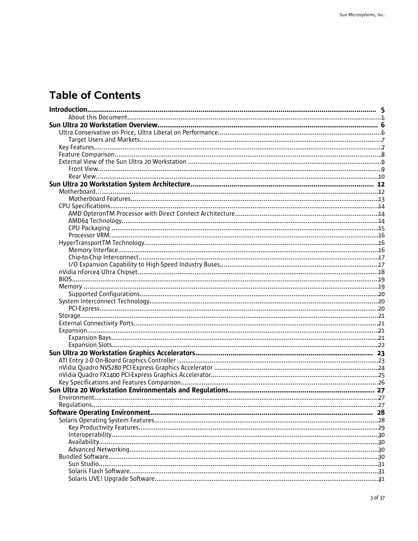## **Table of Contents**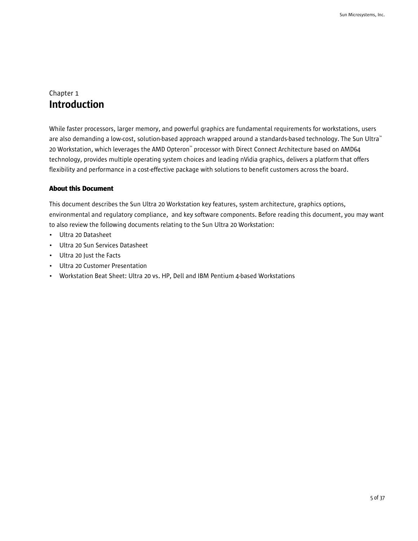## Chapter 1 Introduction

While faster processors, larger memory, and powerful graphics are fundamental requirements for workstations, users are also demanding a low-cost, solution-based approach wrapped around a standards-based technology. The Sun Ultra $^{\text{\tiny m}}$ 20 Workstation, which leverages the AMD Opteron™ processor with Direct Connect Architecture based on AMD64 technology, provides multiple operating system choices and leading nVidia graphics, delivers a platform that offers flexibility and performance in a cost-effective package with solutions to benefit customers across the board.

#### About this Document

This document describes the Sun Ultra 20 Workstation key features, system architecture, graphics options, environmental and regulatory compliance, and key software components. Before reading this document, you may want to also review the following documents relating to the Sun Ultra 20 Workstation:

- Ultra 20 Datasheet
- Ultra 20 Sun Services Datasheet
- Ultra 20 Just the Facts
- Ultra 20 Customer Presentation
- Workstation Beat Sheet: Ultra 20 vs. HP, Dell and IBM Pentium 4-based Workstations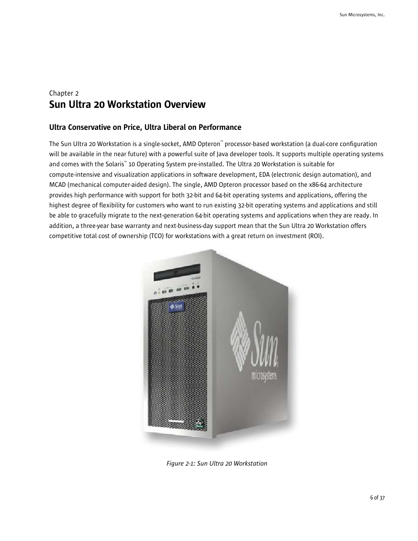## Chapter 2 Sun Ultra 20 Workstation Overview

#### Ultra Conservative on Price, Ultra Liberal on Performance

The Sun Ultra 20 Workstation is a single-socket, AMD Opteron™ processor-based workstation (a dual-core configuration will be available in the near future) with a powerful suite of Java developer tools. It supports multiple operating systems and comes with the Solaris<sup>™</sup> 10 Operating System pre-installed. The Ultra 20 Workstation is suitable for compute-intensive and visualization applications in software development, EDA (electronic design automation), and MCAD (mechanical computer-aided design). The single, AMD Opteron processor based on the x86-64 architecture provides high performance with support for both 32-bit and 64-bit operating systems and applications, offering the highest degree of flexibility for customers who want to run existing 32-bit operating systems and applications and still be able to gracefully migrate to the next-generation 64-bit operating systems and applications when they are ready. In addition, a three-year base warranty and next-business-day support mean that the Sun Ultra 20 Workstation offers competitive total cost of ownership (TCO) for workstations with a great return on investment (ROI).



*Figure 2-1: Sun Ultra 20 Workstation*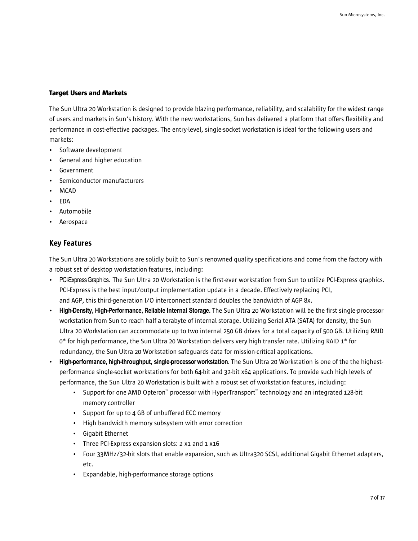#### Target Users and Markets

The Sun Ultra 20 Workstation is designed to provide blazing performance, reliability, and scalability for the widest range of users and markets in Sun's history. With the new workstations, Sun has delivered a platform that offers flexibility and performance in cost-effective packages. The entry-level, single-socket workstation is ideal for the following users and markets:

- Software development
- General and higher education
- **Government**
- Semiconductor manufacturers
- MCAD
- EDA
- Automobile
- **Aerospace**

#### Key Features

The Sun Ultra 20 Workstations are solidly built to Sun's renowned quality specifications and come from the factory with a robust set of desktop workstation features, including:

- PCI-Express Graphics. The Sun Ultra 20 Workstation is the first-ever workstation from Sun to utilize PCI-Express graphics. PCI-Express is the best input/output implementation update in a decade. Effectively replacing PCI, and AGP, this third-generation I/O interconnect standard doubles the bandwidth of AGP 8x.
- **High-Density, High-Performance, Reliable Internal Storage.** The Sun Ultra 20 Workstation will be the first single-processor workstation from Sun to reach half a terabyte of internal storage. Utilizing Serial ATA (SATA) for density, the Sun Ultra 20 Workstation can accommodate up to two internal 250 GB drives for a total capacity of 500 GB. Utilizing RAID 0\* for high performance, the Sun Ultra 20 Workstation delivers very high transfer rate. Utilizing RAID 1\* for redundancy, the Sun Ultra 20 Workstation safeguards data for mission-critical applications.
- **High-performance, high-throughput, single-processorworkstation.** The Sun Ultra 20 Workstation is one of the the highestperformance single-socket workstations for both 64-bit and 32-bit x64 applications. To provide such high levels of performance, the Sun Ultra 20 Workstation is built with a robust set of workstation features, including:
	- Support for one AMD Opteron<sup>™</sup> processor with HyperTransport™ technology and an integrated 128-bit memory controller
	- Support for up to 4 GB of unbuffered ECC memory
	- High bandwidth memory subsystem with error correction
	- Gigabit Ethernet
	- Three PCI-Express expansion slots: 2 x1 and 1 x16
	- Four 33MHz/32-bit slots that enable expansion, such as Ultra320 SCSI, additional Gigabit Ethernet adapters, etc.
	- Expandable, high-performance storage options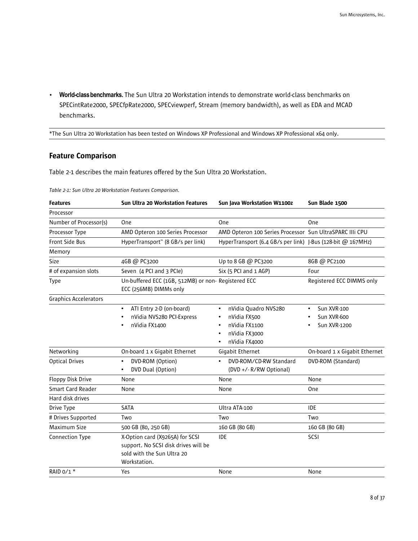• **World-classbenchmarks.** The Sun Ultra 20 Workstation intends to demonstrate world-class benchmarks on SPECintRate2000, SPECfpRate2000, SPECviewperf, Stream (memory bandwidth), as well as EDA and MCAD benchmarks.

\*The Sun Ultra 20 Workstation has been tested on Windows XP Professional and Windows XP Professional x64 only.

#### Feature Comparison

Table 2-1 describes the main features offered by the Sun Ultra 20 Workstation.

| <b>Features</b>              | <b>Sun Ultra 20 Workstation Features</b>                                                                              | Sun Java Workstation W1100z                                                                          | Sun Blade 1500                                           |
|------------------------------|-----------------------------------------------------------------------------------------------------------------------|------------------------------------------------------------------------------------------------------|----------------------------------------------------------|
| Processor                    |                                                                                                                       |                                                                                                      |                                                          |
| Number of Processor(s)       | <b>One</b>                                                                                                            | One                                                                                                  | One                                                      |
| Processor Type               | AMD Opteron 100 Series Processor                                                                                      | AMD Opteron 100 Series Processor Sun UltraSPARC IIIi CPU                                             |                                                          |
| Front Side Bus               | HyperTransport" (8 GB/s per link)                                                                                     | HyperTransport (6.4 GB/s per link) J-Bus (128-bit @ 167MHz)                                          |                                                          |
| Memory                       |                                                                                                                       |                                                                                                      |                                                          |
| Size                         | 4GB @ PC3200                                                                                                          | Up to 8 GB @ PC3200                                                                                  | 8GB @ PC2100                                             |
| # of expansion slots         | Seven (4 PCI and 3 PCIe)                                                                                              | Six (5 PCl and 1 AGP)                                                                                | Four                                                     |
| Type                         | Un-buffered ECC (1GB, 512MB) or non- Registered ECC<br>ECC (256MB) DIMMs only                                         |                                                                                                      | Registered ECC DIMMS only                                |
| <b>Graphics Accelerators</b> |                                                                                                                       |                                                                                                      |                                                          |
|                              | ATI Entry 2-D (on-board)<br>$\bullet$<br>nVidia NVS280 PCI-Express<br>$\bullet$<br>nVidia FX1400                      | nVidia Quadro NVS280<br>nVidia FX500<br>nVidia FX1100<br>nVidia FX3000<br>nVidia FX4000<br>$\bullet$ | <b>Sun XVR-100</b><br>Sun XVR-600<br><b>Sun XVR-1200</b> |
| Networking                   | On-board 1 x Gigabit Ethernet                                                                                         | Gigabit Ethernet                                                                                     | On-board 1 x Gigabit Ethernet                            |
| <b>Optical Drives</b>        | DVD-ROM (Option)<br>DVD Dual (Option)                                                                                 | DVD-ROM/CD-RW Standard<br>$\bullet$<br>(DVD +/- R/RW Optional)                                       | DVD-ROM (Standard)                                       |
| <b>Floppy Disk Drive</b>     | None                                                                                                                  | None                                                                                                 | None                                                     |
| Smart Card Reader            | None                                                                                                                  | None                                                                                                 | One                                                      |
| Hard disk drives             |                                                                                                                       |                                                                                                      |                                                          |
| Drive Type                   | <b>SATA</b>                                                                                                           | Ultra ATA-100                                                                                        | <b>IDE</b>                                               |
| # Drives Supported           | Two                                                                                                                   | Two                                                                                                  | Two                                                      |
| Maximum Size                 | 500 GB (80, 250 GB)                                                                                                   | 160 GB (80 GB)                                                                                       | 160 GB (80 GB)                                           |
| Connection Type              | X-Option card (X9265A) for SCSI<br>support. No SCSI disk drives will be<br>sold with the Sun Ultra 20<br>Workstation. | <b>IDE</b>                                                                                           | SCSI                                                     |
| RAID 0/1*                    | Yes                                                                                                                   | None                                                                                                 | None                                                     |

*Table 2-1: Sun Ultra 20 Workstation Features Comparison.*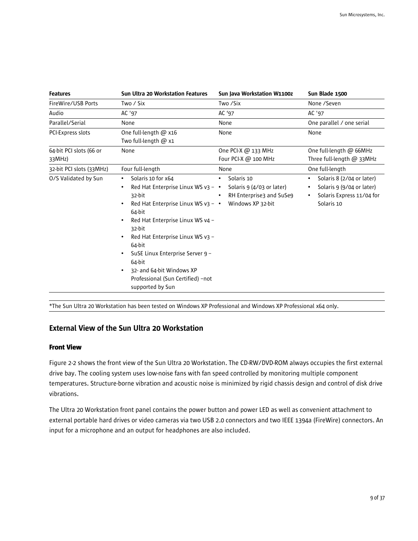| <b>Features</b>                   | Sun Ultra 20 Workstation Features                                                                                                                                                                                                                                                                                                                                                                                             | Sun Java Workstation W1100z                                                                           | Sun Blade 1500                                                                                              |
|-----------------------------------|-------------------------------------------------------------------------------------------------------------------------------------------------------------------------------------------------------------------------------------------------------------------------------------------------------------------------------------------------------------------------------------------------------------------------------|-------------------------------------------------------------------------------------------------------|-------------------------------------------------------------------------------------------------------------|
| FireWire/USB Ports                | Two / Six                                                                                                                                                                                                                                                                                                                                                                                                                     | Two /Six                                                                                              | None /Seven                                                                                                 |
| Audio                             | AC '97                                                                                                                                                                                                                                                                                                                                                                                                                        | AC '97                                                                                                | AC '97                                                                                                      |
| Parallel/Serial                   | None                                                                                                                                                                                                                                                                                                                                                                                                                          | None                                                                                                  | One parallel / one serial                                                                                   |
| PCI-Express slots                 | One full-length @ x16<br>Two full-length @ x1                                                                                                                                                                                                                                                                                                                                                                                 | None                                                                                                  | None                                                                                                        |
| 64-bit PCI slots (66 or<br>33MHz) | None                                                                                                                                                                                                                                                                                                                                                                                                                          | One PCI-X $@$ 133 MHz<br>Four PCI-X @ 100 MHz                                                         | One full-length @ 66MHz<br>Three full-length @ 33MHz                                                        |
| 32-bit PCI slots (33MHz)          | Four full-length                                                                                                                                                                                                                                                                                                                                                                                                              | None                                                                                                  | One full-length                                                                                             |
| O/S Validated by Sun              | Solaris 10 for x64<br>$\bullet$<br>Red Hat Enterprise Linux WS $v3 - v$<br>٠<br>32-bit<br>Red Hat Enterprise Linux WS $v3 - \cdot$<br>$\bullet$<br>64-bit<br>Red Hat Enterprise Linux WS v4 -<br>$\bullet$<br>32-bit<br>Red Hat Enterprise Linux WS v3 -<br>$\bullet$<br>64-bit<br>SuSE Linux Enterprise Server 9 -<br>٠<br>64-bit<br>32- and 64-bit Windows XP<br>٠<br>Professional (Sun Certified) -not<br>supported by Sun | Solaris 10<br>$\bullet$<br>Solaris 9 (4/03 or later)<br>RH Enterprise3 and SuSe9<br>Windows XP 32-bit | Solaris 8 (2/04 or later)<br>٠<br>Solaris 9 (9/04 or later)<br>Solaris Express 11/04 for<br>٠<br>Solaris 10 |

\*The Sun Ultra 20 Workstation has been tested on Windows XP Professional and Windows XP Professional x64 only.

#### External View of the Sun Ultra 20 Workstation

#### Front View

Figure 2-2 shows the front view of the Sun Ultra 20 Workstation. The CD-RW/DVD-ROM always occupies the first external drive bay. The cooling system uses low-noise fans with fan speed controlled by monitoring multiple component temperatures. Structure-borne vibration and acoustic noise is minimized by rigid chassis design and control of disk drive vibrations.

The Ultra 20 Workstation front panel contains the power button and power LED as well as convenient attachment to external portable hard drives or video cameras via two USB 2.0 connectors and two IEEE 1394a (FireWire) connectors. An input for a microphone and an output for headphones are also included.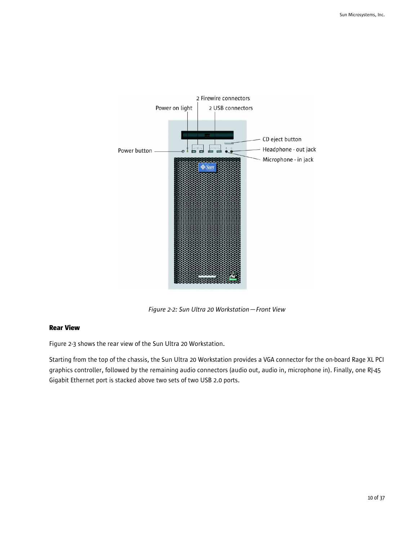

*Figure 2-2: Sun Ultra 20 Workstation—Front View*

#### Rear View

Figure 2-3 shows the rear view of the Sun Ultra 20 Workstation.

Starting from the top of the chassis, the Sun Ultra 20 Workstation provides a VGA connector for the on-board Rage XL PCI graphics controller, followed by the remaining audio connectors (audio out, audio in, microphone in). Finally, one RJ-45 Gigabit Ethernet port is stacked above two sets of two USB 2.0 ports.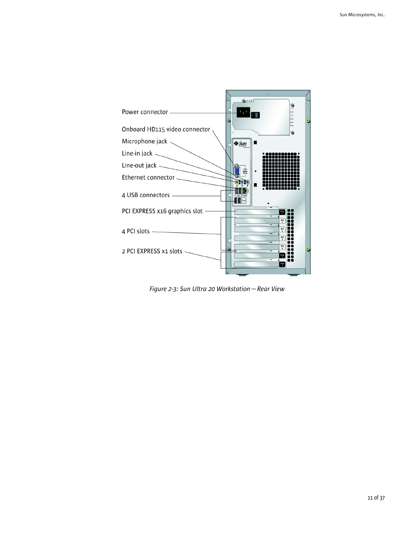

*Figure 2-3: Sun Ultra 20 Workstation—Rear View*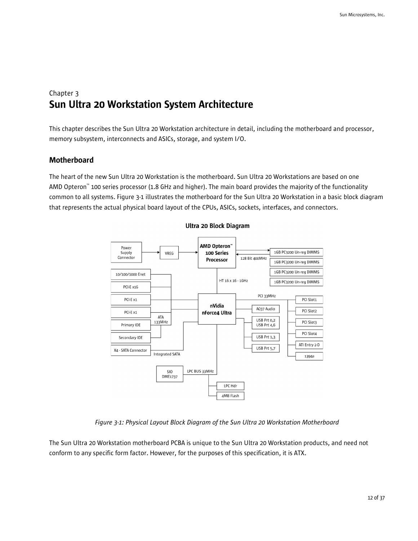## Chapter 3 Sun Ultra 20 Workstation System Architecture

This chapter describes the Sun Ultra 20 Workstation architecture in detail, including the motherboard and processor, memory subsystem, interconnects and ASICs, storage, and system I/O.

#### **Motherboard**

The heart of the new Sun Ultra 20 Workstation is the motherboard. Sun Ultra 20 Workstations are based on one AMD Opteron™ 100 series processor (1.8 GHz and higher). The main board provides the majority of the functionality common to all systems. Figure 3-1 illustrates the motherboard for the Sun Ultra 20 Workstation in a basic block diagram that represents the actual physical board layout of the CPUs, ASICs, sockets, interfaces, and connectors.



#### Ultra 20 Block Diagram

*Figure 3-1: Physical Layout Block Diagram of the Sun Ultra 20 Workstation Motherboard*

The Sun Ultra 20 Workstation motherboard PCBA is unique to the Sun Ultra 20 Workstation products, and need not conform to any specific form factor. However, for the purposes of this specification, it is ATX.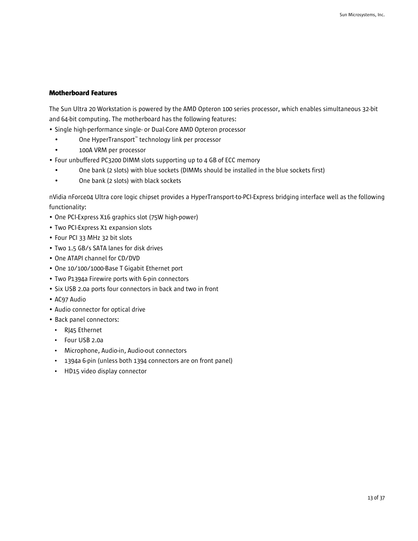#### Motherboard Features

The Sun Ultra 20 Workstation is powered by the AMD Opteron 100 series processor, which enables simultaneous 32-bit and 64-bit computing. The motherboard has the following features:

- Single high-performance single- or Dual-Core AMD Opteron processor
	- $\bullet$  One HyperTransport<sup>"</sup> technology link per processor
	- 100A VRM per processor
- Four unbuffered PC3200 DIMM slots supporting up to 4 GB of ECC memory
	- One bank (2 slots) with blue sockets (DIMMs should be installed in the blue sockets first)
	- One bank (2 slots) with black sockets

nVidia nForce04 Ultra core logic chipset provides a HyperTransport-to-PCI-Express bridging interface well as the following functionality:

- One PCI-Express X16 graphics slot (75W high-power)
- Two PCI-Express X1 expansion slots
- Four PCI 33 MHz 32 bit slots
- Two 1.5 GB/s SATA lanes for disk drives
- One ATAPI channel for CD/DVD
- One 10/100/1000-Base T Gigabit Ethernet port
- Two P1394a Firewire ports with 6-pin connectors
- Six USB 2.0a ports four connectors in back and two in front
- AC97 Audio
- Audio connector for optical drive
- Back panel connectors:
	- RJ45 Ethernet
	- Four USB 2.0a
	- Microphone, Audio-in, Audio-out connectors
	- 1394a 6-pin (unless both 1394 connectors are on front panel)
	- HD15 video display connector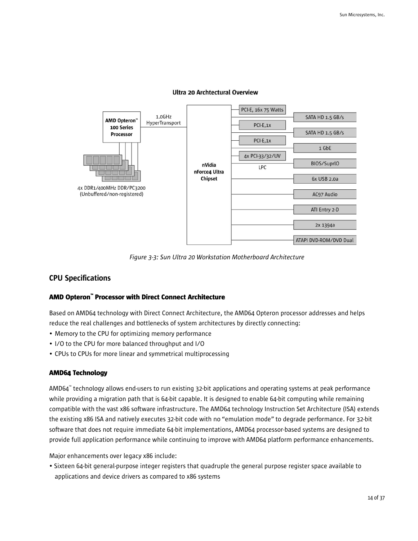

#### **Ultra 20 Archtectural Overview**

*Figure 3-3: Sun Ultra 20 Workstation Motherboard Architecture*

#### CPU Specifications

#### AMD Opteron<sup>™</sup> Processor with Direct Connect Architecture

Based on AMD64 technology with Direct Connect Architecture, the AMD64 Opteron processor addresses and helps reduce the real challenges and bottlenecks of system architectures by directly connecting:

- Memory to the CPU for optimizing memory performance
- I/O to the CPU for more balanced throughput and I/O
- CPUs to CPUs for more linear and symmetrical multiprocessing

#### AMD64 Technology

 $AMD64<sup>m</sup>$  technology allows end-users to run existing 32-bit applications and operating systems at peak performance while providing a migration path that is 64-bit capable. It is designed to enable 64-bit computing while remaining compatible with the vast x86 software infrastructure. The AMD64 technology Instruction Set Architecture (ISA) extends the existing x86 ISA and natively executes 32-bit code with no "emulation mode" to degrade performance. For 32-bit software that does not require immediate 64-bit implementations, AMD64 processor-based systems are designed to provide full application performance while continuing to improve with AMD64 platform performance enhancements.

Major enhancements over legacy x86 include:

• Sixteen 64-bit general-purpose integer registers that quadruple the general purpose register space available to applications and device drivers as compared to x86 systems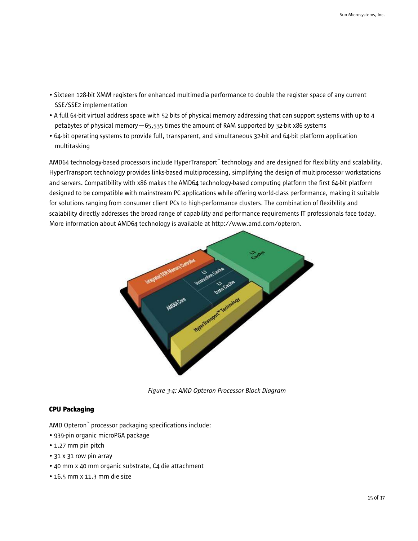- Sixteen 128-bit XMM registers for enhanced multimedia performance to double the register space of any current SSE/SSE2 implementation
- A full 64-bit virtual address space with 52 bits of physical memory addressing that can support systems with up to 4 petabytes of physical memory*—*65,535 times the amount of RAM supported by 32-bit x86 systems
- 64-bit operating systems to provide full, transparent, and simultaneous 32-bit and 64-bit platform application multitasking

<code>AMD64</code> technology-based processors include HyperTransport $^{\text{\tiny m}}$  technology and are designed for flexibility and scalability. HyperTransport technology provides links-based multiprocessing, simplifying the design of multiprocessor workstations and servers. Compatibility with x86 makes the AMD64 technology-based computing platform the first 64-bit platform designed to be compatible with mainstream PC applications while offering world-class performance, making it suitable for solutions ranging from consumer client PCs to high-performance clusters. The combination of flexibility and scalability directly addresses the broad range of capability and performance requirements IT professionals face today. More information about AMD64 technology is available at http://www.amd.com/opteron.



*Figure 3-4: AMD Opteron Processor Block Diagram*

#### CPU Packaging

 $\mathsf{AMD}\ \mathsf{Opteron}^{\mathsf{m}}$  processor packaging specifications include:

- 939-pin organic microPGA package
- 1.27 mm pin pitch
- 31 x 31 row pin array
- 40 mm x 40 mm organic substrate, C4 die attachment
- 16.5 mm x 11.3 mm die size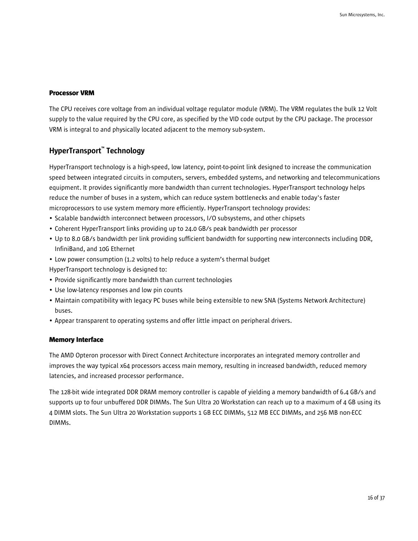#### Processor VRM

The CPU receives core voltage from an individual voltage regulator module (VRM). The VRM regulates the bulk 12 Volt supply to the value required by the CPU core, as specified by the VID code output by the CPU package. The processor VRM is integral to and physically located adjacent to the memory sub-system.

#### HyperTransport™ Technology

HyperTransport technology is a high-speed, low latency, point-to-point link designed to increase the communication speed between integrated circuits in computers, servers, embedded systems, and networking and telecommunications equipment. It provides significantly more bandwidth than current technologies. HyperTransport technology helps reduce the number of buses in a system, which can reduce system bottlenecks and enable today's faster microprocessors to use system memory more efficiently. HyperTransport technology provides:

- Scalable bandwidth interconnect between processors, I/O subsystems, and other chipsets
- Coherent HyperTransport links providing up to 24.0 GB/s peak bandwidth per processor
- Up to 8.0 GB/s bandwidth per link providing sufficient bandwidth for supporting new interconnects including DDR, InfiniBand, and 10G Ethernet
- Low power consumption (1.2 volts) to help reduce a system's thermal budget
- HyperTransport technology is designed to:
- Provide significantly more bandwidth than current technologies
- Use low-latency responses and low pin counts
- Maintain compatibility with legacy PC buses while being extensible to new SNA (Systems Network Architecture) buses.
- Appear transparent to operating systems and offer little impact on peripheral drivers.

#### Memory Interface

The AMD Opteron processor with Direct Connect Architecture incorporates an integrated memory controller and improves the way typical x64 processors access main memory, resulting in increased bandwidth, reduced memory latencies, and increased processor performance.

The 128-bit wide integrated DDR DRAM memory controller is capable of yielding a memory bandwidth of 6.4 GB/s and supports up to four unbuffered DDR DIMMs. The Sun Ultra 20 Workstation can reach up to a maximum of 4 GB using its 4 DIMM slots. The Sun Ultra 20 Workstation supports 1 GB ECC DIMMs, 512 MB ECC DIMMs, and 256 MB non-ECC DIMMs.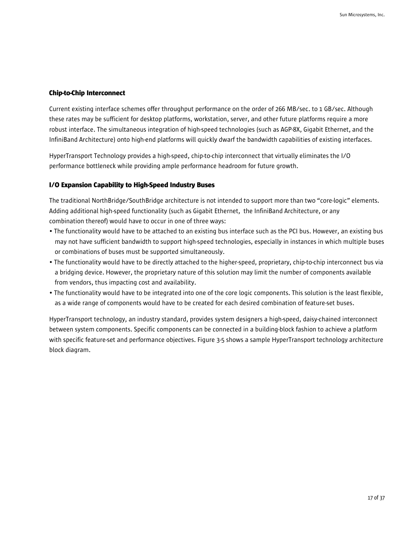#### Chip-to-Chip Interconnect

Current existing interface schemes offer throughput performance on the order of 266 MB/sec. to 1 GB/sec. Although these rates may be sufficient for desktop platforms, workstation, server, and other future platforms require a more robust interface. The simultaneous integration of high-speed technologies (such as AGP-8X, Gigabit Ethernet, and the InfiniBand Architecture) onto high-end platforms will quickly dwarf the bandwidth capabilities of existing interfaces.

HyperTransport Technology provides a high-speed, chip-to-chip interconnect that virtually eliminates the I/O performance bottleneck while providing ample performance headroom for future growth.

#### I/O Expansion Capability to High-Speed Industry Buses

The traditional NorthBridge/SouthBridge architecture is not intended to support more than two "core-logic" elements. Adding additional high-speed functionality (such as Gigabit Ethernet, the InfiniBand Architecture, or any combination thereof) would have to occur in one of three ways:

- The functionality would have to be attached to an existing bus interface such as the PCI bus. However, an existing bus may not have sufficient bandwidth to support high-speed technologies, especially in instances in which multiple buses or combinations of buses must be supported simultaneously.
- The functionality would have to be directly attached to the higher-speed, proprietary, chip-to-chip interconnect bus via a bridging device. However, the proprietary nature of this solution may limit the number of components available from vendors, thus impacting cost and availability.
- The functionality would have to be integrated into one of the core logic components. This solution is the least flexible, as a wide range of components would have to be created for each desired combination of feature-set buses.

HyperTransport technology, an industry standard, provides system designers a high-speed, daisy-chained interconnect between system components. Specific components can be connected in a building-block fashion to achieve a platform with specific feature-set and performance objectives. Figure 3-5 shows a sample HyperTransport technology architecture block diagram.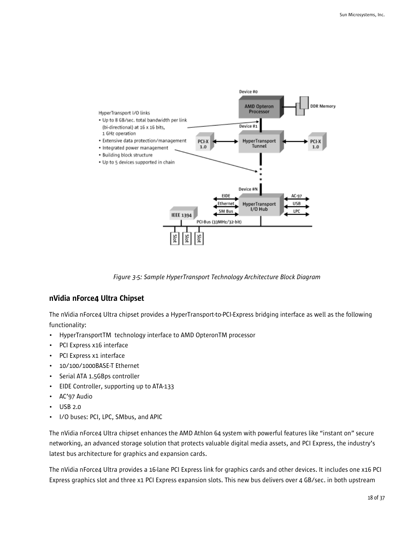

*Figure 3-5: Sample HyperTransport Technology Architecture Block Diagram*

#### nVidia nForce4 Ultra Chipset

The nVidia nForce4 Ultra chipset provides a HyperTransport-to-PCI-Express bridging interface as well as the following functionality:

- HyperTransportTM technology interface to AMD OpteronTM processor
- PCI Express x16 interface
- PCI Express x1 interface
- 10/100/1000BASE-T Ethernet
- Serial ATA 1.5GBps controller
- EIDE Controller, supporting up to ATA-133
- AC'97 Audio
- USB 2.0
- I/O buses: PCI, LPC, SMbus, and APIC

The nVidia nForce4 Ultra chipset enhances the AMD Athlon 64 system with powerful features like "instant on" secure networking, an advanced storage solution that protects valuable digital media assets, and PCI Express, the industry's latest bus architecture for graphics and expansion cards.

The nVidia nForce4 Ultra provides a 16-lane PCI Express link for graphics cards and other devices. It includes one x16 PCI Express graphics slot and three x1 PCI Express expansion slots. This new bus delivers over 4 GB/sec. in both upstream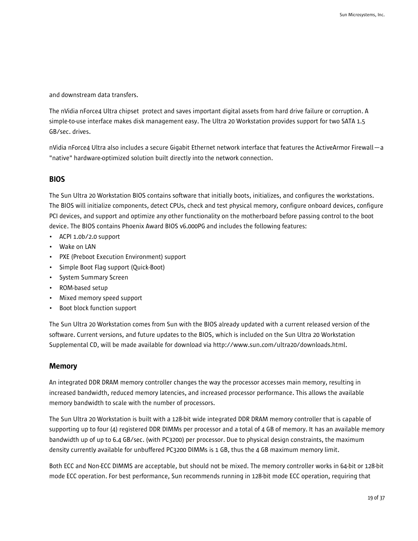and downstream data transfers.

The nVidia nForce4 Ultra chipset protect and saves important digital assets from hard drive failure or corruption. A simple-to-use interface makes disk management easy. The Ultra 20 Workstation provides support for two SATA 1.5 GB/sec. drives.

nVidia nForce4 Ultra also includes a secure Gigabit Ethernet network interface that features the ActiveArmor Firewall*—*a "native" hardware-optimized solution built directly into the network connection.

#### BIOS

The Sun Ultra 20 Workstation BIOS contains software that initially boots, initializes, and configures the workstations. The BIOS will initialize components, detect CPUs, check and test physical memory, configure onboard devices, configure PCI devices, and support and optimize any other functionality on the motherboard before passing control to the boot device. The BIOS contains Phoenix Award BIOS v6.000PG and includes the following features:

- ACPI 1.0b/2.0 support
- Wake on LAN
- PXE (Preboot Execution Environment) support
- Simple Boot Flag support (Quick-Boot)
- System Summary Screen
- ROM-based setup
- Mixed memory speed support
- Boot block function support

The Sun Ultra 20 Workstation comes from Sun with the BIOS already updated with a current released version of the software. Current versions, and future updates to the BIOS, which is included on the Sun Ultra 20 Workstation Supplemental CD, will be made available for download via http://www.sun.com/ultra20/downloads.html.

#### Memory

An integrated DDR DRAM memory controller changes the way the processor accesses main memory, resulting in increased bandwidth, reduced memory latencies, and increased processor performance. This allows the available memory bandwidth to scale with the number of processors.

The Sun Ultra 20 Workstation is built with a 128-bit wide integrated DDR DRAM memory controller that is capable of supporting up to four (4) registered DDR DIMMs per processor and a total of 4 GB of memory. It has an available memory bandwidth up of up to 6.4 GB/sec. (with PC3200) per processor. Due to physical design constraints, the maximum density currently available for unbuffered PC3200 DIMMs is 1 GB, thus the 4 GB maximum memory limit.

Both ECC and Non-ECC DIMMS are acceptable, but should not be mixed. The memory controller works in 64-bit or 128-bit mode ECC operation. For best performance, Sun recommends running in 128-bit mode ECC operation, requiring that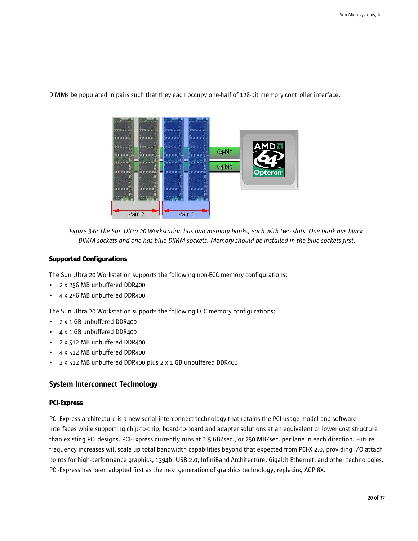

DIMMs be populated in pairs such that they each occupy one-half of 128-bit memory controller interface.

*Figure 3-6: The Sun Ultra 20 Workstation has two memory banks, each with two slots. One bank has black DIMM sockets and one has blue DIMM sockets. Memory should be installed in the blue sockets first.*

#### Supported Configurations

The Sun Ultra 20 Workstation supports the following non-ECC memory configurations:

- 2 x 256 MB unbuffered DDR400
- 4 x 256 MB unbuffered DDR400

The Sun Ultra 20 Workstation supports the following ECC memory configurations:

- 2 x 1 GB unbuffered DDR400
- 4 x 1 GB unbuffered DDR400
- 2 x 512 MB unbuffered DDR400
- 4 x 512 MB unbuffered DDR400
- 2 x 512 MB unbuffered DDR400 plus 2 x 1 GB unbuffered DDR400

#### System Interconnect Technology

#### PCI-Express

PCI-Express architecture is a new serial interconnect technology that retains the PCI usage model and software interfaces while supporting chip-to-chip, board-to-board and adapter solutions at an equivalent or lower cost structure than existing PCI designs. PCI-Express currently runs at 2.5 GB/sec., or 250 MB/sec. per lane in each direction. Future frequency increases will scale up total bandwidth capabilities beyond that expected from PCI-X 2.0, providing I/O attach points for high-performance graphics, 1394b, USB 2.0, InfiniBand Architecture, Gigabit Ethernet, and other technologies. PCI-Express has been adopted first as the next generation of graphics technology, replacing AGP 8X.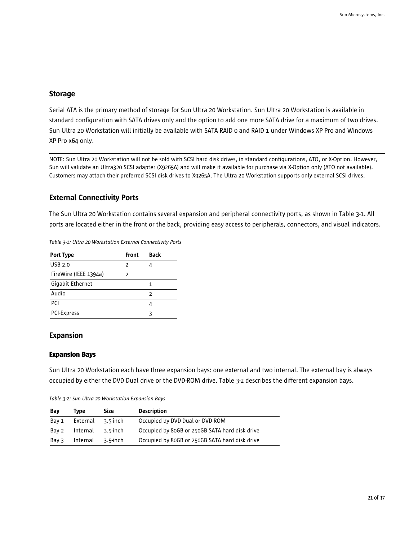#### **Storage**

Serial ATA is the primary method of storage for Sun Ultra 20 Workstation. Sun Ultra 20 Workstation is available in standard configuration with SATA drives only and the option to add one more SATA drive for a maximum of two drives. Sun Ultra 20 Workstation will initially be available with SATA RAID 0 and RAID 1 under Windows XP Pro and Windows XP Pro x64 only.

NOTE: Sun Ultra 20 Workstation will not be sold with SCSI hard disk drives, in standard configurations, ATO, or X-Option. However, Sun will validate an Ultra320 SCSI adapter (X9265A) and will make it available for purchase via X-Option only (ATO not available). Customers may attach their preferred SCSI disk drives to X9265A. The Ultra 20 Workstation supports only external SCSI drives.

#### External Connectivity Ports

The Sun Ultra 20 Workstation contains several expansion and peripheral connectivity ports, as shown in Table 3-1. All ports are located either in the front or the back, providing easy access to peripherals, connectors, and visual indicators.

|  | Table 3-1: Ultra 20 Workstation External Connectivity Ports |  |  |  |
|--|-------------------------------------------------------------|--|--|--|
|--|-------------------------------------------------------------|--|--|--|

| Port Type             | Front         | <b>Back</b> |
|-----------------------|---------------|-------------|
| <b>USB 2.0</b>        | $\mathcal{P}$ |             |
| FireWire (IEEE 1394a) | 2             |             |
| Gigabit Ethernet      |               | 1           |
| Audio                 |               | フ           |
| PCI.                  |               |             |
| <b>PCI-Express</b>    |               | ₹           |

#### Expansion

#### Expansion Bays

Sun Ultra 20 Workstation each have three expansion bays: one external and two internal. The external bay is always occupied by either the DVD Dual drive or the DVD-ROM drive. Table 3-2 describes the different expansion bays.

*Table 3-2: Sun Ultra 20 Workstation Expansion Bays*

| Bay   | Tvpe     | <b>Size</b> | <b>Description</b>                             |
|-------|----------|-------------|------------------------------------------------|
| Bay 1 | External | 3.5-inch    | Occupied by DVD-Dual or DVD-ROM                |
| Bay 2 | Internal | 3.5-inch    | Occupied by 80GB or 250GB SATA hard disk drive |
| Bay 3 | Internal | 3.5-inch    | Occupied by 80GB or 250GB SATA hard disk drive |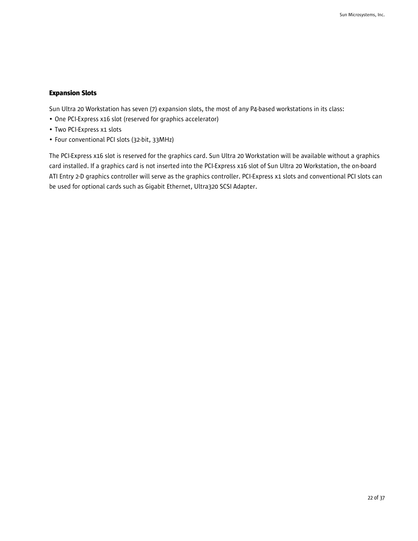#### Expansion Slots

Sun Ultra 20 Workstation has seven (7) expansion slots, the most of any P4-based workstations in its class:

- One PCI-Express x16 slot (reserved for graphics accelerator)
- Two PCI-Express x1 slots
- Four conventional PCI slots (32-bit, 33MHz)

The PCI-Express x16 slot is reserved for the graphics card. Sun Ultra 20 Workstation will be available without a graphics card installed. If a graphics card is not inserted into the PCI-Express x16 slot of Sun Ultra 20 Workstation, the on-board ATI Entry 2-D graphics controller will serve as the graphics controller. PCI-Express x1 slots and conventional PCI slots can be used for optional cards such as Gigabit Ethernet, Ultra320 SCSI Adapter.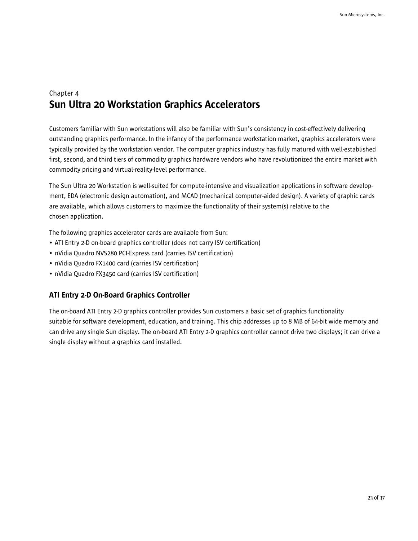## Chapter 4 Sun Ultra 20 Workstation Graphics Accelerators

Customers familiar with Sun workstations will also be familiar with Sun's consistency in cost-effectively delivering outstanding graphics performance. In the infancy of the performance workstation market, graphics accelerators were typically provided by the workstation vendor. The computer graphics industry has fully matured with well-established first, second, and third tiers of commodity graphics hardware vendors who have revolutionized the entire market with commodity pricing and virtual-reality-level performance.

The Sun Ultra 20 Workstation is well-suited for compute-intensive and visualization applications in software development, EDA (electronic design automation), and MCAD (mechanical computer-aided design). A variety of graphic cards are available, which allows customers to maximize the functionality of their system(s) relative to the chosen application.

The following graphics accelerator cards are available from Sun:

- ATI Entry 2-D on-board graphics controller (does not carry ISV certification)
- nVidia Quadro NVS280 PCI-Express card (carries ISV certification)
- nVidia Quadro FX1400 card (carries ISV certification)
- nVidia Quadro FX3450 card (carries ISV certification)

#### ATI Entry 2-D On-Board Graphics Controller

The on-board ATI Entry 2-D graphics controller provides Sun customers a basic set of graphics functionality suitable for software development, education, and training. This chip addresses up to 8 MB of 64-bit wide memory and can drive any single Sun display. The on-board ATI Entry 2-D graphics controller cannot drive two displays; it can drive a single display without a graphics card installed.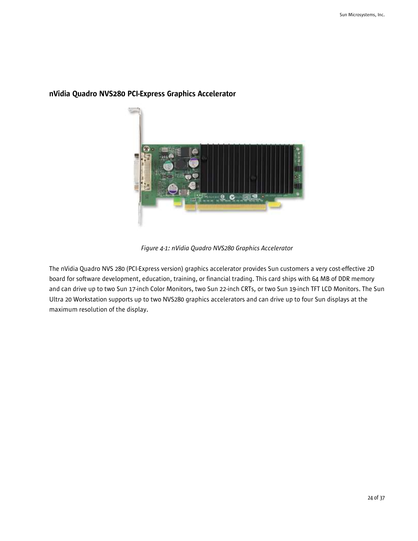

#### nVidia Quadro NVS280 PCI-Express Graphics Accelerator

*Figure 4-1: nVidia Quadro NVS280 Graphics Accelerator*

The nVidia Quadro NVS 280 (PCI-Express version) graphics accelerator provides Sun customers a very cost-effective 2D board for software development, education, training, or financial trading. This card ships with 64 MB of DDR memory and can drive up to two Sun 17-inch Color Monitors, two Sun 22-inch CRTs, or two Sun 19-inch TFT LCD Monitors. The Sun Ultra 20 Workstation supports up to two NVS280 graphics accelerators and can drive up to four Sun displays at the maximum resolution of the display.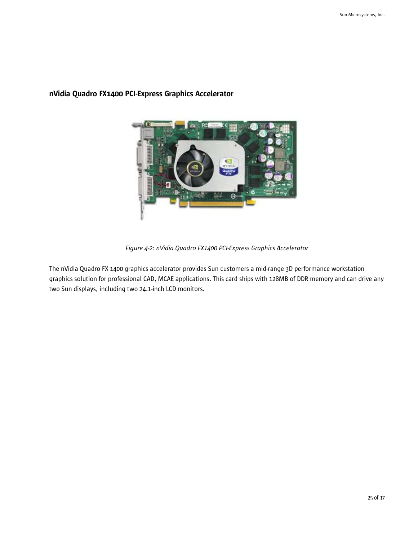

## nVidia Quadro FX1400 PCI-Express Graphics Accelerator

*Figure 4-2: nVidia Quadro FX1400 PCI-Express Graphics Accelerator*

The nVidia Quadro FX 1400 graphics accelerator provides Sun customers a mid-range 3D performance workstation graphics solution for professional CAD, MCAE applications. This card ships with 128MB of DDR memory and can drive any two Sun displays, including two 24.1-inch LCD monitors.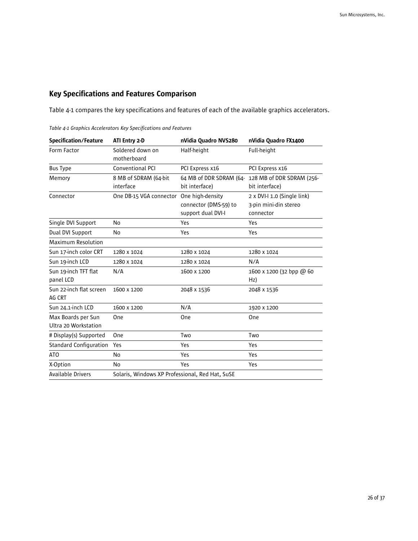## Key Specifications and Features Comparison

Table 4-1 compares the key specifications and features of each of the available graphics accelerators.

| Specification/Feature                      | ATI Entry 2-D                                   | nVidia Quadro NVS280                        | nVidia Quadro FX1400                                               |  |
|--------------------------------------------|-------------------------------------------------|---------------------------------------------|--------------------------------------------------------------------|--|
| Form Factor                                | Soldered down on<br>motherboard                 | Half-height                                 | Full-height                                                        |  |
| <b>Bus Type</b>                            | <b>Conventional PCI</b>                         | PCI Express x16                             | PCI Express x16                                                    |  |
| Memory                                     | 8 MB of SDRAM (64-bit)<br>interface             | bit interface)                              | 64 MB of DDR SDRAM (64-128 MB of DDR SDRAM (256-<br>bit interface) |  |
| Connector                                  | One DB-15 VGA connector One high-density        | connector (DMS-59) to<br>support dual DVI-I | 2 x DVI-I 1.0 (Single link)<br>3-pin mini-din stereo<br>connector  |  |
| Single DVI Support                         | No                                              | Yes                                         | Yes                                                                |  |
| Dual DVI Support                           | No                                              | Yes                                         | Yes                                                                |  |
| <b>Maximum Resolution</b>                  |                                                 |                                             |                                                                    |  |
| Sun 17-inch color CRT                      | 1280 x 1024                                     | 1280 x 1024                                 | 1280 x 1024                                                        |  |
| Sun 19-inch LCD                            | 1280 x 1024                                     | 1280 x 1024                                 | N/A                                                                |  |
| Sun 19-inch TFT flat<br>panel LCD          | N/A                                             | 1600 x 1200                                 | 1600 x 1200 (32 bpp @ 60<br>Hz)                                    |  |
| Sun 22-inch flat screen<br>AG CRT          | 1600 x 1200                                     | 2048 x 1536                                 | 2048 x 1536                                                        |  |
| Sun 24.1-inch LCD                          | 1600 x 1200                                     | N/A                                         | 1920 x 1200                                                        |  |
| Max Boards per Sun<br>Ultra 20 Workstation | One                                             | One                                         | One                                                                |  |
| # Display(s) Supported                     | One                                             | Two                                         | Two                                                                |  |
| <b>Standard Configuration</b>              | Yes                                             | Yes                                         | Yes                                                                |  |
| <b>ATO</b>                                 | No                                              | Yes                                         | Yes                                                                |  |
| X-Option                                   | No                                              | Yes                                         | Yes                                                                |  |
| <b>Available Drivers</b>                   | Solaris, Windows XP Professional, Red Hat, SuSE |                                             |                                                                    |  |

*Table 4-1 Graphics Accelerators Key Specifications and Features*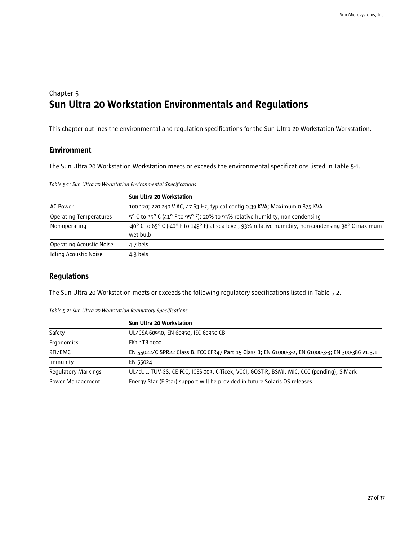## Chapter 5 Sun Ultra 20 Workstation Environmentals and Regulations

This chapter outlines the environmental and regulation specifications for the Sun Ultra 20 Workstation Workstation.

#### Environment

The Sun Ultra 20 Workstation Workstation meets or exceeds the environmental specifications listed in Table 5-1.

| Table 5-1: Sun Ultra 20 Workstation Environmental Specifications |  |
|------------------------------------------------------------------|--|
|------------------------------------------------------------------|--|

|                                 | Sun Ultra 20 Workstation                                                                                                                                           |
|---------------------------------|--------------------------------------------------------------------------------------------------------------------------------------------------------------------|
| AC Power                        | 100-120; 220-240 V AC, 47-63 Hz, typical config 0.39 KVA; Maximum 0.875 KVA                                                                                        |
| <b>Operating Temperatures</b>   | $5^{\circ}$ C to 35° C (41° F to 95° F); 20% to 93% relative humidity, non-condensing                                                                              |
| Non-operating                   | -40 $^{\circ}$ C to 65 $^{\circ}$ C (-40 $^{\circ}$ F to 149 $^{\circ}$ F) at sea level; 93% relative humidity, non-condensing 38 $^{\circ}$ C maximum<br>wet bulb |
| <b>Operating Acoustic Noise</b> | 4.7 bels                                                                                                                                                           |
| <b>Idling Acoustic Noise</b>    | $4.3$ bels                                                                                                                                                         |

## Regulations

The Sun Ultra 20 Workstation meets or exceeds the following regulatory specifications listed in Table 5-2.

|                            | Sun Ultra 20 Workstation                                                                           |
|----------------------------|----------------------------------------------------------------------------------------------------|
| Safety                     | UL/CSA-60950, EN 60950, IEC 60950 CB                                                               |
| Ergonomics                 | EK1-1TB-2000                                                                                       |
| RFI/EMC                    | EN 55022/CISPR22 Class B, FCC CFR47 Part 15 Class B; EN 61000-3-2, EN 61000-3-3; EN 300-386 v1.3.1 |
| Immunity                   | EN 55024                                                                                           |
| <b>Regulatory Markings</b> | UL/cUL, TUV-GS, CE FCC, ICES-003, C-Ticek, VCCI, GOST-R, BSMI, MIC, CCC (pending), S-Mark          |
| Power Management           | Energy Star (E-Star) support will be provided in future Solaris OS releases                        |

*Table 5-2: Sun Ultra 20 Workstation Regulatory Specifications*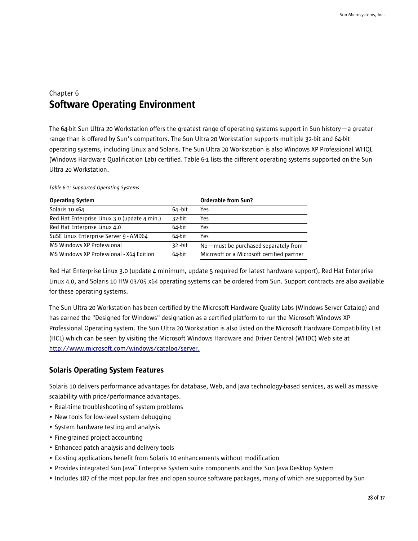## Chapter 6 Software Operating Environment

The 64-bit Sun Ultra 20 Workstation offers the greatest range of operating systems support in Sun history*—*a greater range than is offered by Sun's competitors. The Sun Ultra 20 Workstation supports multiple 32-bit and 64-bit operating systems, including Linux and Solaris. The Sun Ultra 20 Workstation is also Windows XP Professional WHQL (Windows Hardware Qualification Lab) certified. Table 6-1 lists the different operating systems supported on the Sun Ultra 20 Workstation.

| <b>Operating System</b>                      |         | <b>Orderable from Sun?</b>                 |
|----------------------------------------------|---------|--------------------------------------------|
| Solaris 10 x64                               | 64 -bit | Yes                                        |
| Red Hat Enterprise Linux 3.0 (update 4 min.) | 32-bit  | Yes                                        |
| Red Hat Enterprise Linux 4.0                 | 64-bit  | Yes                                        |
| SuSE Linux Enterprise Server 9 - AMD64       | 64-bit  | Yes                                        |
| MS Windows XP Professional                   | 32 -bit | $No$ – must be purchased separately from   |
| MS Windows XP Professional - X64 Edition     | 64-bit  | Microsoft or a Microsoft certified partner |

*Table 6-1: Supported Operating Systems*

Red Hat Enterprise Linux 3.0 (update 4 minimum, update 5 required for latest hardware support), Red Hat Enterprise Linux 4.0, and Solaris 10 HW 03/05 x64 operating systems can be ordered from Sun. Support contracts are also available for these operating systems.

The Sun Ultra 20 Workstation has been certified by the Microsoft Hardware Quality Labs (Windows Server Catalog) and has earned the "Designed for Windows" designation as a certified platform to run the Microsoft Windows XP Professional Operating system. The Sun Ultra 20 Workstation is also listed on the Microsoft Hardware Compatibility List (HCL) which can be seen by visiting the Microsoft Windows Hardware and Driver Central (WHDC) Web site at http://www.microsoft.com/windows/catalog/server.

#### Solaris Operating System Features

Solaris 10 delivers performance advantages for database, Web, and Java technology-based services, as well as massive scalability with price/performance advantages.

- Real-time troubleshooting of system problems
- New tools for low-level system debugging
- System hardware testing and analysis
- Fine-grained project accounting
- Enhanced patch analysis and delivery tools
- Existing applications benefit from Solaris 10 enhancements without modification
- Provides integrated Sun Java<sup>"</sup> Enterprise System suite components and the Sun Java Desktop System
- Includes 187 of the most popular free and open source software packages, many of which are supported by Sun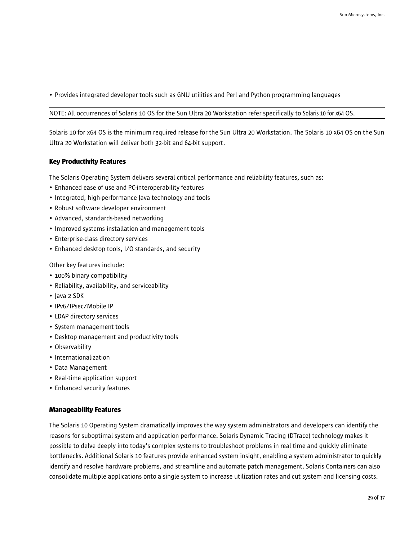• Provides integrated developer tools such as GNU utilities and Perl and Python programming languages

#### NOTE: All occurrences of Solaris 10 OS for the Sun Ultra 20 Workstation refer specifically to Solaris 10 for x64 OS.

Solaris 10 for x64 OS is the minimum required release for the Sun Ultra 20 Workstation. The Solaris 10 x64 OS on the Sun Ultra 20 Workstation will deliver both 32-bit and 64-bit support.

#### Key Productivity Features

The Solaris Operating System delivers several critical performance and reliability features, such as:

- Enhanced ease of use and PC-interoperability features
- Integrated, high-performance Java technology and tools
- Robust software developer environment
- Advanced, standards-based networking
- Improved systems installation and management tools
- Enterprise-class directory services
- Enhanced desktop tools, I/O standards, and security

Other key features include:

- 100% binary compatibility
- Reliability, availability, and serviceability
- Java 2 SDK
- IPv6/IPsec/Mobile IP
- LDAP directory services
- System management tools
- Desktop management and productivity tools
- Observability
- Internationalization
- Data Management
- Real-time application support
- Enhanced security features

#### Manageability Features

The Solaris 10 Operating System dramatically improves the way system administrators and developers can identify the reasons for suboptimal system and application performance. Solaris Dynamic Tracing (DTrace) technology makes it possible to delve deeply into today's complex systems to troubleshoot problems in real time and quickly eliminate bottlenecks. Additional Solaris 10 features provide enhanced system insight, enabling a system administrator to quickly identify and resolve hardware problems, and streamline and automate patch management. Solaris Containers can also consolidate multiple applications onto a single system to increase utilization rates and cut system and licensing costs.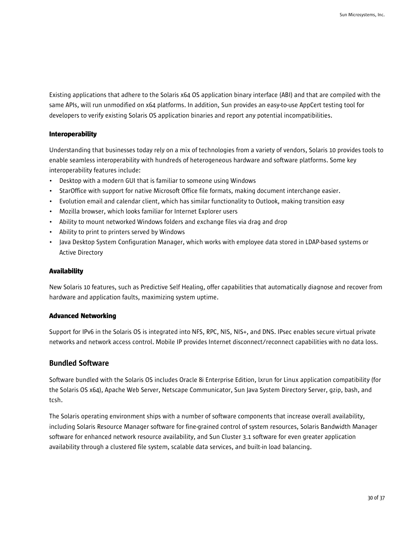Existing applications that adhere to the Solaris x64 OS application binary interface (ABI) and that are compiled with the same APIs, will run unmodified on x64 platforms. In addition, Sun provides an easy-to-use AppCert testing tool for developers to verify existing Solaris OS application binaries and report any potential incompatibilities.

#### Interoperability

Understanding that businesses today rely on a mix of technologies from a variety of vendors, Solaris 10 provides tools to enable seamless interoperability with hundreds of heterogeneous hardware and software platforms. Some key interoperability features include:

- Desktop with a modern GUI that is familiar to someone using Windows
- StarOffice with support for native Microsoft Office file formats, making document interchange easier.
- Evolution email and calendar client, which has similar functionality to Outlook, making transition easy
- Mozilla browser, which looks familiar for Internet Explorer users
- Ability to mount networked Windows folders and exchange files via drag and drop
- Ability to print to printers served by Windows
- Java Desktop System Configuration Manager, which works with employee data stored in LDAP-based systems or Active Directory

#### Availability

New Solaris 10 features, such as Predictive Self Healing, offer capabilities that automatically diagnose and recover from hardware and application faults, maximizing system uptime.

#### Advanced Networking

Support for IPv6 in the Solaris OS is integrated into NFS, RPC, NIS, NIS+, and DNS. IPsec enables secure virtual private networks and network access control. Mobile IP provides Internet disconnect/reconnect capabilities with no data loss.

#### Bundled Software

Software bundled with the Solaris OS includes Oracle 8i Enterprise Edition, lxrun for Linux application compatibility (for the Solaris OS x64), Apache Web Server, Netscape Communicator, Sun Java System Directory Server, gzip, bash, and tcsh.

The Solaris operating environment ships with a number of software components that increase overall availability, including Solaris Resource Manager software for fine-grained control of system resources, Solaris Bandwidth Manager software for enhanced network resource availability, and Sun Cluster 3.1 software for even greater application availability through a clustered file system, scalable data services, and built-in load balancing.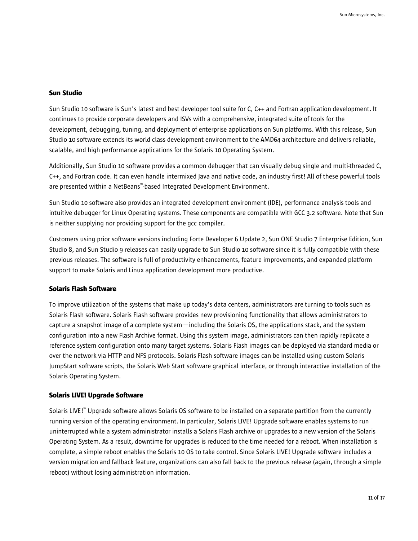#### Sun Studio

Sun Studio 10 software is Sun's latest and best developer tool suite for C, C++ and Fortran application development. It continues to provide corporate developers and ISVs with a comprehensive, integrated suite of tools for the development, debugging, tuning, and deployment of enterprise applications on Sun platforms. With this release, Sun Studio 10 software extends its world class development environment to the AMD64 architecture and delivers reliable, scalable, and high performance applications for the Solaris 10 Operating System.

Additionally, Sun Studio 10 software provides a common debugger that can visually debug single and multi-threaded C, C++, and Fortran code. It can even handle intermixed Java and native code, an industry first! All of these powerful tools are presented within a NetBeans™-based Integrated Development Environment.

Sun Studio 10 software also provides an integrated development environment (IDE), performance analysis tools and intuitive debugger for Linux Operating systems. These components are compatible with GCC 3.2 software. Note that Sun is neither supplying nor providing support for the gcc compiler.

Customers using prior software versions including Forte Developer 6 Update 2, Sun ONE Studio 7 Enterprise Edition, Sun Studio 8, and Sun Studio 9 releases can easily upgrade to Sun Studio 10 software since it is fully compatible with these previous releases. The software is full of productivity enhancements, feature improvements, and expanded platform support to make Solaris and Linux application development more productive.

#### Solaris Flash Software

To improve utilization of the systems that make up today's data centers, administrators are turning to tools such as Solaris Flash software. Solaris Flash software provides new provisioning functionality that allows administrators to capture a snapshot image of a complete system*—*including the Solaris OS, the applications stack, and the system configuration into a new Flash Archive format. Using this system image, administrators can then rapidly replicate a reference system configuration onto many target systems. Solaris Flash images can be deployed via standard media or over the network via HTTP and NFS protocols. Solaris Flash software images can be installed using custom Solaris JumpStart software scripts, the Solaris Web Start software graphical interface, or through interactive installation of the Solaris Operating System.

#### Solaris LIVE! Upgrade Software

Solaris LIVE!" Upgrade software allows Solaris OS software to be installed on a separate partition from the currently running version of the operating environment. In particular, Solaris LIVE! Upgrade software enables systems to run uninterrupted while a system administrator installs a Solaris Flash archive or upgrades to a new version of the Solaris Operating System. As a result, downtime for upgrades is reduced to the time needed for a reboot. When installation is complete, a simple reboot enables the Solaris 10 OS to take control. Since Solaris LIVE! Upgrade software includes a version migration and fallback feature, organizations can also fall back to the previous release (again, through a simple reboot) without losing administration information.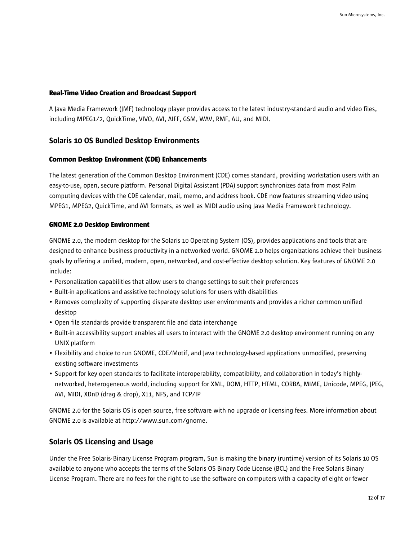#### Real-Time Video Creation and Broadcast Support

A Java Media Framework (JMF) technology player provides access to the latest industry-standard audio and video files, including MPEG1/2, QuickTime, VIVO, AVI, AIFF, GSM, WAV, RMF, AU, and MIDI.

#### Solaris 10 OS Bundled Desktop Environments

#### Common Desktop Environment (CDE) Enhancements

The latest generation of the Common Desktop Environment (CDE) comes standard, providing workstation users with an easy-to-use, open, secure platform. Personal Digital Assistant (PDA) support synchronizes data from most Palm computing devices with the CDE calendar, mail, memo, and address book. CDE now features streaming video using MPEG1, MPEG2, QuickTime, and AVI formats, as well as MIDI audio using Java Media Framework technology.

#### GNOME 2.0 Desktop Environment

GNOME 2.0, the modern desktop for the Solaris 10 Operating System (OS), provides applications and tools that are designed to enhance business productivity in a networked world. GNOME 2.0 helps organizations achieve their business goals by offering a unified, modern, open, networked, and cost-effective desktop solution. Key features of GNOME 2.0 include:

- Personalization capabilities that allow users to change settings to suit their preferences
- Built-in applications and assistive technology solutions for users with disabilities
- Removes complexity of supporting disparate desktop user environments and provides a richer common unified desktop
- Open file standards provide transparent file and data interchange
- Built-in accessibility support enables all users to interact with the GNOME 2.0 desktop environment running on any UNIX platform
- Flexibility and choice to run GNOME, CDE/Motif, and Java technology-based applications unmodified, preserving existing software investments
- Support for key open standards to facilitate interoperability, compatibility, and collaboration in today's highlynetworked, heterogeneous world, including support for XML, DOM, HTTP, HTML, CORBA, MIME, Unicode, MPEG, JPEG, AVI, MIDI, XDnD (drag & drop), X11, NFS, and TCP/IP

GNOME 2.0 for the Solaris OS is open source, free software with no upgrade or licensing fees. More information about GNOME 2.0 is available at http://www.sun.com/gnome.

#### Solaris OS Licensing and Usage

Under the Free Solaris-Binary License Program program, Sun is making the binary (runtime) version of its Solaris 10 OS available to anyone who accepts the terms of the Solaris OS Binary Code License (BCL) and the Free Solaris Binary License Program. There are no fees for the right to use the software on computers with a capacity of eight or fewer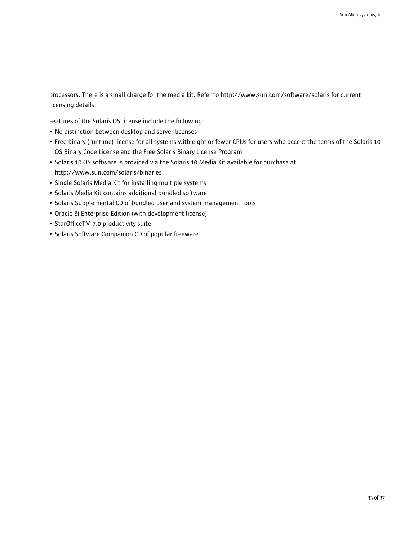processors. There is a small charge for the media kit. Refer to http://www.sun.com/software/solaris for current licensing details.

Features of the Solaris OS license include the following:

- No distinction between desktop and server licenses
- Free binary (runtime) license for all systems with eight or fewer CPUs for users who accept the terms of the Solaris 10 OS Binary Code License and the Free Solaris Binary License Program
- Solaris 10 OS software is provided via the Solaris 10 Media Kit available for purchase at http://www.sun.com/solaris/binaries
- Single Solaris Media Kit for installing multiple systems
- Solaris Media Kit contains additional bundled software
- Solaris Supplemental CD of bundled user and system management tools
- Oracle 8i Enterprise Edition (with development license)
- StarOfficeTM 7.0 productivity suite
- Solaris Software Companion CD of popular freeware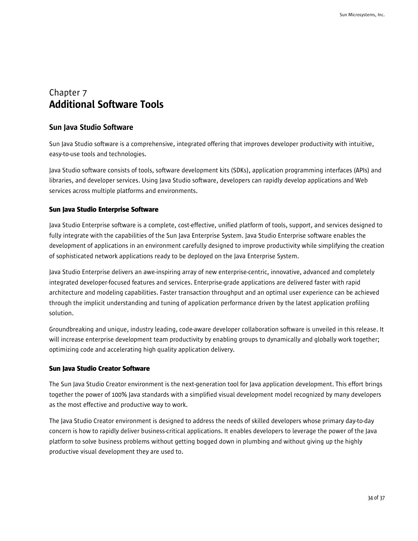## Chapter 7 Additional Software Tools

#### Sun Java Studio Software

Sun Java Studio software is a comprehensive, integrated offering that improves developer productivity with intuitive, easy-to-use tools and technologies.

Java Studio software consists of tools, software development kits (SDKs), application programming interfaces (APIs) and libraries, and developer services. Using Java Studio software, developers can rapidly develop applications and Web services across multiple platforms and environments.

#### Sun Java Studio Enterprise Software

Java Studio Enterprise software is a complete, cost-effective, unified platform of tools, support, and services designed to fully integrate with the capabilities of the Sun Java Enterprise System. Java Studio Enterprise software enables the development of applications in an environment carefully designed to improve productivity while simplifying the creation of sophisticated network applications ready to be deployed on the Java Enterprise System.

Java Studio Enterprise delivers an awe-inspiring array of new enterprise-centric, innovative, advanced and completely integrated developer-focused features and services. Enterprise-grade applications are delivered faster with rapid architecture and modeling capabilities. Faster transaction throughput and an optimal user experience can be achieved through the implicit understanding and tuning of application performance driven by the latest application profiling solution.

Groundbreaking and unique, industry leading, code-aware developer collaboration software is unveiled in this release. It will increase enterprise development team productivity by enabling groups to dynamically and globally work together; optimizing code and accelerating high quality application delivery.

#### Sun Java Studio Creator Software

The Sun Java Studio Creator environment is the next-generation tool for Java application development. This effort brings together the power of 100% Java standards with a simplified visual development model recognized by many developers as the most effective and productive way to work.

The Java Studio Creator environment is designed to address the needs of skilled developers whose primary day-to-day concern is how to rapidly deliver business-critical applications. It enables developers to leverage the power of the Java platform to solve business problems without getting bogged down in plumbing and without giving up the highly productive visual development they are used to.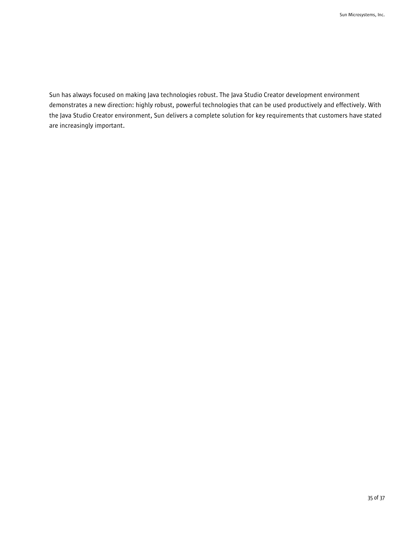Sun has always focused on making Java technologies robust. The Java Studio Creator development environment demonstrates a new direction: highly robust, powerful technologies that can be used productively and effectively. With the Java Studio Creator environment, Sun delivers a complete solution for key requirements that customers have stated are increasingly important.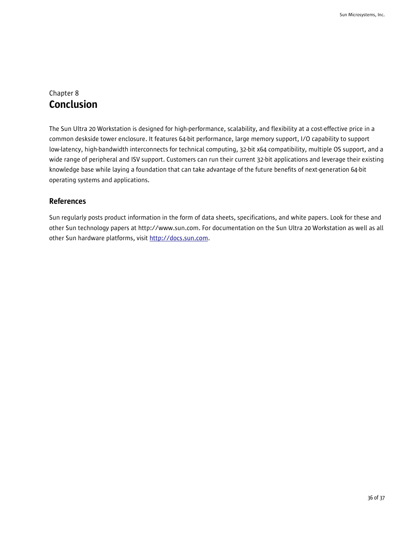## Chapter 8 Conclusion

The Sun Ultra 20 Workstation is designed for high-performance, scalability, and flexibility at a cost-effective price in a common deskside tower enclosure. It features 64-bit performance, large memory support, I/O capability to support low-latency, high-bandwidth interconnects for technical computing, 32-bit x64 compatibility, multiple OS support, and a wide range of peripheral and ISV support. Customers can run their current 32-bit applications and leverage their existing knowledge base while laying a foundation that can take advantage of the future benefits of next-generation 64-bit operating systems and applications.

#### References

Sun regularly posts product information in the form of data sheets, specifications, and white papers. Look for these and other Sun technology papers at http://www.sun.com. For documentation on the Sun Ultra 20 Workstation as well as all other Sun hardware platforms, visit http://docs.sun.com.